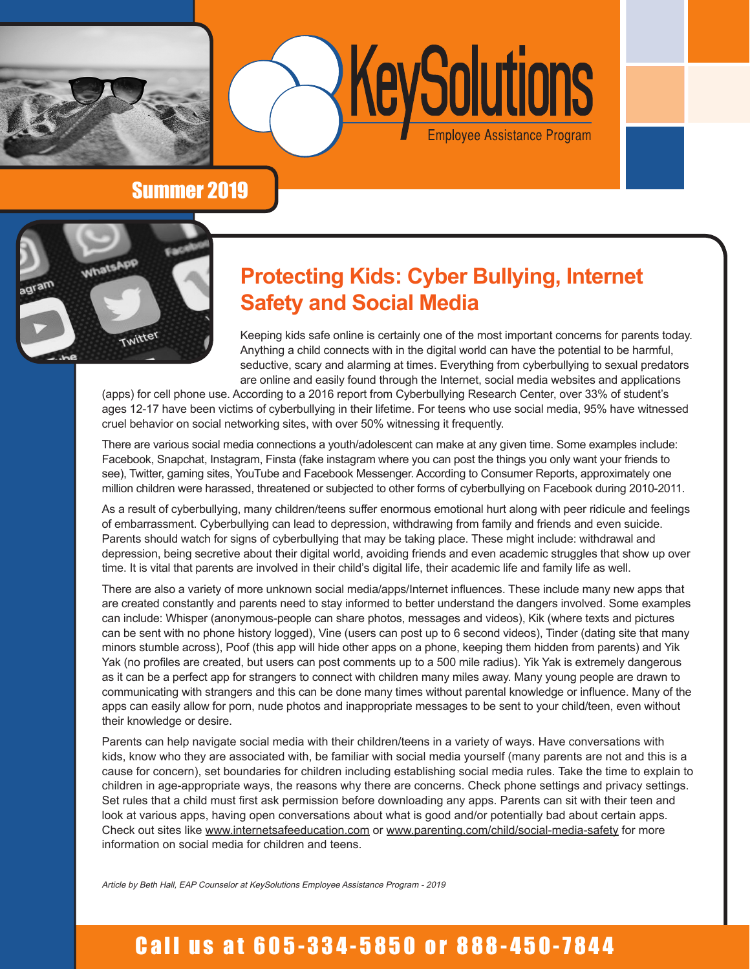



### Summer 2019



## **Protecting Kids: Cyber Bullying, Internet Safety and Social Media**

Keeping kids safe online is certainly one of the most important concerns for parents today. Anything a child connects with in the digital world can have the potential to be harmful, seductive, scary and alarming at times. Everything from cyberbullying to sexual predators are online and easily found through the Internet, social media websites and applications

(apps) for cell phone use. According to a 2016 report from Cyberbullying Research Center, over 33% of student's ages 12-17 have been victims of cyberbullying in their lifetime. For teens who use social media, 95% have witnessed cruel behavior on social networking sites, with over 50% witnessing it frequently.

There are various social media connections a youth/adolescent can make at any given time. Some examples include: Facebook, Snapchat, Instagram, Finsta (fake instagram where you can post the things you only want your friends to see), Twitter, gaming sites, YouTube and Facebook Messenger. According to Consumer Reports, approximately one million children were harassed, threatened or subjected to other forms of cyberbullying on Facebook during 2010-2011.

As a result of cyberbullying, many children/teens suffer enormous emotional hurt along with peer ridicule and feelings of embarrassment. Cyberbullying can lead to depression, withdrawing from family and friends and even suicide. Parents should watch for signs of cyberbullying that may be taking place. These might include: withdrawal and depression, being secretive about their digital world, avoiding friends and even academic struggles that show up over time. It is vital that parents are involved in their child's digital life, their academic life and family life as well.

There are also a variety of more unknown social media/apps/Internet influences. These include many new apps that are created constantly and parents need to stay informed to better understand the dangers involved. Some examples can include: Whisper (anonymous-people can share photos, messages and videos), Kik (where texts and pictures can be sent with no phone history logged), Vine (users can post up to 6 second videos), Tinder (dating site that many minors stumble across), Poof (this app will hide other apps on a phone, keeping them hidden from parents) and Yik Yak (no profiles are created, but users can post comments up to a 500 mile radius). Yik Yak is extremely dangerous as it can be a perfect app for strangers to connect with children many miles away. Many young people are drawn to communicating with strangers and this can be done many times without parental knowledge or influence. Many of the apps can easily allow for porn, nude photos and inappropriate messages to be sent to your child/teen, even without their knowledge or desire.

Parents can help navigate social media with their children/teens in a variety of ways. Have conversations with kids, know who they are associated with, be familiar with social media yourself (many parents are not and this is a cause for concern), set boundaries for children including establishing social media rules. Take the time to explain to children in age-appropriate ways, the reasons why there are concerns. Check phone settings and privacy settings. Set rules that a child must first ask permission before downloading any apps. Parents can sit with their teen and look at various apps, having open conversations about what is good and/or potentially bad about certain apps. Check out sites like www.internetsafeeducation.com or www.parenting.com/child/social-media-safety for more information on social media for children and teens.

Article by Beth Hall, EAP Counselor at KeySolutions Employee Assistance Program - 2019

## Call us at 605-334-5850 or 888-450-7844